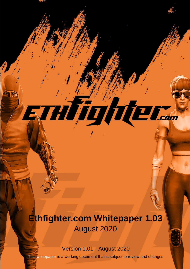### **Ethfighter.com Whitepaper 1.03** August 2020

ETHTighter

Version 1.01 - August 2020

This whitepaper is a working document that is subject to review and changes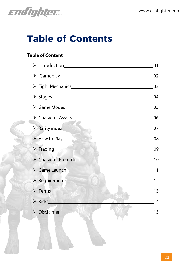

### <span id="page-1-0"></span>**Table of Contents**

#### **Table of Content**

|                                                                                     | 01        |
|-------------------------------------------------------------------------------------|-----------|
| ➤                                                                                   | 02        |
|                                                                                     | 03        |
|                                                                                     | 04        |
| > Game Modes                                                                        | 05        |
| > Character Assets                                                                  | 06        |
| > Rarity index Management of the Community of the Rarity index                      | 07        |
| A How to Play And All Andrew March 2014                                             | 08        |
| > Trading Production 2014                                                           | 09        |
|                                                                                     | 10        |
| > Game Launch                                                                       | 11        |
| $\triangleright$ Requirements<br>the contract of the contract of the contract of    | 12        |
| $\triangleright$ Terms                                                              | $\sim$ 13 |
| $\triangleright$ Risks                                                              | 14        |
| <b>CONTRACTOR</b><br>$\triangleright$ Disclaimer<br>the contract of the contract of | 15        |
|                                                                                     |           |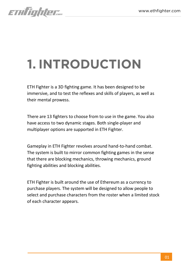**ETH Tyhter** 

# 1. INTRODUCTION

ETH Fighter is a 3D fighting game. It has been designed to be immersive, and to test the reflexes and skills of players, as well as their mental prowess.

There are 13 fighters to choose from to use in the game. You also have access to two dynamic stages. Both single-player and multiplayer options are supported in ETH Fighter.

Gameplay in ETH Fighter revolves around hand-to-hand combat. The system is built to mirror common fighting games in the sense that there are blocking mechanics, throwing mechanics, ground fighting abilities and blocking abilities.

ETH Fighter is built around the use of Ethereum as a currency to purchase players. The system will be designed to allow people to select and purchase characters from the roster when a limited stock of each character appears.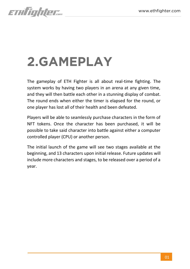**ETH Tyhter** 

### 2.GAMEPLAY

The gameplay of ETH Fighter is all about real-time fighting. The system works by having two players in an arena at any given time, and they will then battle each other in a stunning display of combat. The round ends when either the timer is elapsed for the round, or one player has lost all of their health and been defeated.

Players will be able to seamlessly purchase characters in the form of NFT tokens. Once the character has been purchased, it will be possible to take said character into battle against either a computer controlled player (CPU) or another person.

The initial launch of the game will see two stages available at the beginning, and 13 characters upon initial release. Future updates will include more characters and stages, to be released over a period of a year.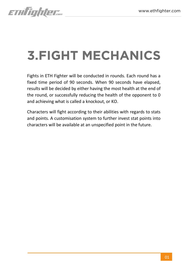**ETHTyliters** 

## **3. FIGHT MECHANICS**

Fights in ETH Fighter will be conducted in rounds. Each round has a fixed time period of 90 seconds. When 90 seconds have elapsed, results will be decided by either having the most health at the end of the round, or successfully reducing the health of the opponent to 0 and achieving what is called a knockout, or KO.

Characters will fight according to their abilities with regards to stats and points. A customisation system to further invest stat points into characters will be available at an unspecified point in the future.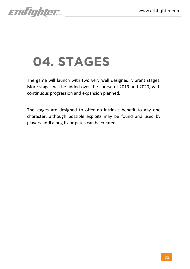**ETH Tyhter** 

### 04. STAGES

The game will launch with two very well designed, vibrant stages. More stages will be added over the course of 2019 and 2020, with continuous progression and expansion planned.

The stages are designed to offer no intrinsic benefit to any one character, although possible exploits may be found and used by players until a bug fix or patch can be created.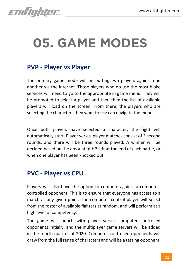eni hiliya

### **05. GAME MODES**

#### **PVP - Player vs Player**

The primary game mode will be putting two players against one another via the internet. Those players who do use the most bloke services will need to go to the appropriate in game menu. They will be promoted to select a player and then then the list of available players will load on the screen. From there, the players who are selecting the characters they want to use can navigate the menus.

Once both players have selected a character, the fight will automatically start. Player versus player matches consist of 3 second rounds, and there will be three rounds played. A winner will be decided based on the amount of HP left at the end of each battle, or when one player has been knocked out.

#### **PVC - Player vs CPU**

Players will also have the option to compete against a computercontrolled opponent. This is to ensure that everyone has access to a match at any given point. The computer control player will select from the roster of available fighters at random, and will perform at a high level of competency.

The game will launch with player versus computer controlled opponents initially, and the multiplayer game servers will be added in the fourth quarter of 2020. Computer controlled opponents will draw from the full range of characters and will be a testing opponent.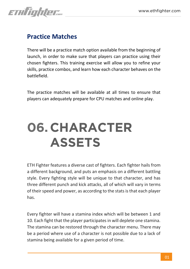

### **Practice Matches**

There will be a practice match option available from the beginning of launch, in order to make sure that players can practice using their chosen fighters. This training exercise will allow you to refine your skills, practice combos, and learn how each character behaves on the battlefield.

The practice matches will be available at all times to ensure that players can adequately prepare for CPU matches and online play.

## **06. CHARACTER ASSETS**

ETH Fighter features a diverse cast of fighters. Each fighter hails from a different background, and puts an emphasis on a different battling style. Every fighting style will be unique to that character, and has three different punch and kick attacks, all of which will vary in terms of their speed and power, as according to the stats is that each player has.

Every fighter will have a stamina index which will be between 1 and 10. Each fight that the player participates in will deplete one stamina. The stamina can be restored through the character menu. There may be a period where use of a character is not possible due to a lack of stamina being available for a given period of time.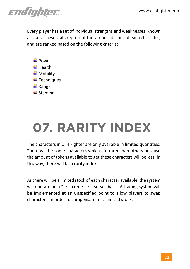

Every player has a set of individual strengths and weaknesses, known as stats. These stats represent the various abilities of each character, and are ranked based on the following criteria:



# 07. RARITY INDEX

The characters in ETH Fighter are only available in limited quantities. There will be some characters which are rarer than others because the amount of tokens available to get these characters will be less. In this way, there will be a rarity index.

As there will be a limited stock of each character available, the system will operate on a "first come, first serve" basis. A trading system will be implemented at an unspecified point to allow players to swap characters, in order to compensate for a limited stock.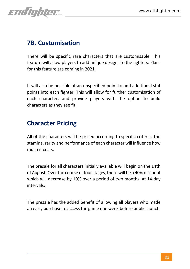

#### **7B. Customisation**

There will be specific rare characters that are customisable. This feature will allow players to add unique designs to the fighters. Plans for this feature are coming in 2021.

It will also be possible at an unspecified point to add additional stat points into each fighter. This will allow for further customisation of each character, and provide players with the option to build characters as they see fit.

#### **Character Pricing**

All of the characters will be priced according to specific criteria. The stamina, rarity and performance of each character will influence how much it costs.

The presale for all characters initially available will begin on the 14th of August. Over the course of four stages, there will be a 40% discount which will decrease by 10% over a period of two months, at 14-day intervals.

The presale has the added benefit of allowing all players who made an early purchase to access the game one week before public launch.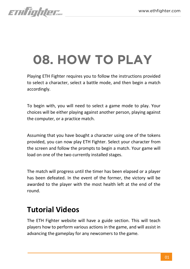eni hiliya

# **08. HOW TO PLAY**

Playing ETH Fighter requires you to follow the instructions provided to select a character, select a battle mode, and then begin a match accordingly.

To begin with, you will need to select a game mode to play. Your choices will be either playing against another person, playing against the computer, or a practice match.

Assuming that you have bought a character using one of the tokens provided, you can now play ETH Fighter. Select your character from the screen and follow the prompts to begin a match. Your game will load on one of the two currently installed stages.

The match will progress until the timer has been elapsed or a player has been defeated. In the event of the former, the victory will be awarded to the player with the most health left at the end of the round.

### **Tutorial Videos**

The ETH Fighter website will have a guide section. This will teach players how to perform various actions in the game, and will assist in advancing the gameplay for any newcomers to the game.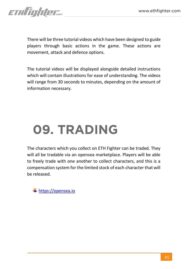

There will be three tutorial videos which have been designed to guide players through basic actions in the game. These actions are movement, attack and defence options.

The tutorial videos will be displayed alongside detailed instructions which will contain illustrations for ease of understanding. The videos will range from 30 seconds to minutes, depending on the amount of information necessary.

### 09. TRADING

The characters which you collect on ETH Fighter can be traded. They will all be tradable via an opensea marketplace. Players will be able to freely trade with one another to collect characters, and this is a compensation system for the limited stock of each character that will be released.

[https://opensea.io](https://opensea.io/)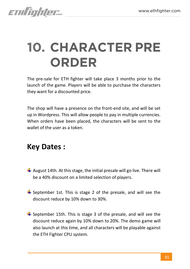**ETH Tyhter** 

## 10. CHARACTER PRE ORDER

The pre-sale for ETH fighter will take place 3 months prior to the launch of the game. Players will be able to purchase the characters they want for a discounted price.

The shop will have a presence on the front-end site, and will be set up in Wordpress. This will allow people to pay in multiple currencies. When orders have been placed, the characters will be sent to the wallet of the user as a token.

### **Key Dates :**

- $\overline{\phantom{a}}$  August 14th. At this stage, the initial presale will go live. There will be a 40% discount on a limited selection of players.
- $\div$  September 1st. This is stage 2 of the presale, and will see the discount reduce by 10% down to 30%.
- $\div$  September 15th. This is stage 3 of the presale, and will see the discount reduce again by 10% down to 20%. The demo game will also launch at this time, and all characters will be playable against the ETH Fighter CPU system.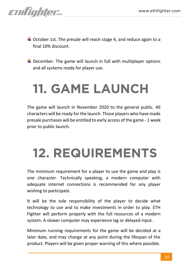

 $\overline{\phantom{a}}$  October 1st. The presale will reach stage 4, and reduce again to a final 10% discount.

 $\div$  December. The game will launch in full with multiplayer options and all systems ready for player use.

## **11. GAME LAUNCH**

The game will launch in November 2020 to the general public. All characters will be ready for the launch. Those players who have made presale purchases will be entitled to early access of the game - 1 week prior to public launch.

## **12. REQUIREMENTS**

The minimum requirement for a player to use the game and play is one character. Technically speaking, a modern computer with adequate internet connections is recommended for any player wishing to participate.

It will be the sole responsibility of the player to decide what technology to use and to make investments in order to play. ETH Fighter will perform properly with the full resources of a modern system. A slower computer may experience lag or delayed input.

Minimum running requirements for the game will be decided at a later date, and may change at any point during the lifespan of the product. Players will be given proper warning of this where possible.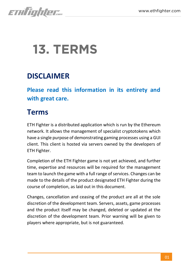**ETH Tolier** 

## **13. TERMS**

### **DISCLAIMER**

**Please read this information in its entirety and with great care.** 

### **Terms**

ETH Fighter is a distributed application which is run by the Ethereum network. It allows the management of specialist cryptotokens which have a single purpose of demonstrating gaming processes using a GUI client. This client is hosted via servers owned by the developers of ETH Fighter.

Completion of the ETH Fighter game is not yet achieved, and further time, expertise and resources will be required for the management team to launch the game with a full range of services. Changes can be made to the details of the product designated ETH Fighter during the course of completion, as laid out in this document.

Changes, cancellation and ceasing of the product are all at the sole discretion of the development team. Servers, assets, game processes and the product itself may be changed, deleted or updated at the discretion of the development team. Prior warning will be given to players where appropriate, but is not guaranteed.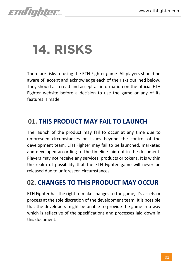eni hiliya

### **14. RISKS**

There are risks to using the ETH Fighter game. All players should be aware of, accept and acknowledge each of the risks outlined below. They should also read and accept all information on the official ETH Fighter website before a decision to use the game or any of its features is made.

#### **01. THIS PRODUCT MAY FAIL TO LAUNCH**

The launch of the product may fail to occur at any time due to unforeseen circumstances or issues beyond the control of the development team. ETH Fighter may fail to be launched, marketed and developed according to the timeline laid out in the document. Players may not receive any services, products or tokens. It is within the realm of possibility that the ETH Fighter game will never be released due to unforeseen circumstances.

### **02. CHANGES TO THIS PRODUCT MAY OCCUR**

ETH Fighter has the right to make changes to the game, it's assets or process at the sole discretion of the development team. It is possible that the developers might be unable to provide the game in a way which is reflective of the specifications and processes laid down in this document.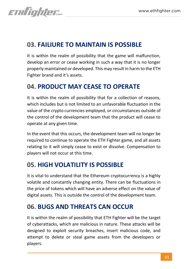

### **03. FAILIURE TO MAINTAIN IS POSSIBLE**

It is within the realm of possibility that the game will malfunction, develop an error or cease working in such a way that it is no longer properly maintained or developed. This may result in harm to the ETH Fighter brand and it's assets.

#### **04. PRODUCT MAY CEASE TO OPERATE**

It is within the realm of possibility that for a collection of reasons, which includes but is not limited to an unfavorable fluctuation in the value of the crypto currencies employed, or circumstances outside of the control of the development team that the product will cease to operate at any given time.

In the event that this occurs, the development team will no longer be required to continue to operate the ETH Fighter game, and all assets relating to it will simply cease to exist or dissolve. Compensation to players will not occur at this time.

### **05. HIGH VOLATILITY IS POSSIBLE**

It is vital to understand that the Ethereum cryptocurrency is a highly volatile and constantly changing entity. There can be fluctuations in the price of tokens which will have an adverse effect on the value of digital assets. This is outside the control of the development team.

### **06. BUGS AND THREATS CAN OCCUR**

It is within the realm of possibility that ETH Fighter will be the target of cyberattacks, which are malicious in nature. These attacks will be designed to exploit security breaches, insert malicious code, and attempt to delete or steal game assets from the developers or players.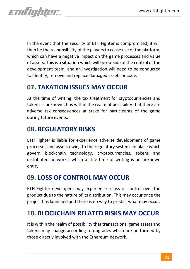

In the event that the security of ETH Fighter is compromised, it will then be the responsibility of the players to cease use of the platform, which can have a negative impact on the game processes and value of assets. This is a situation which will be outside of the control of the development team, and an investigation will need to be conducted to identify, remove and replace damaged assets or code.

### **07. TAXATION ISSUES MAY OCCUR**

At the time of writing, the tax treatment for cryptocurrencies and tokens is unknown. It is within the realm of possibility that there are adverse tax consequences at stake for participants of the game during future events.

#### **08. REGULATORY RISKS**

ETH Fighter is liable for experience adverse development of game processes and assets owing to the regulatory systems in place which govern blockchain technology, cryptocurrencies, tokens and distributed networks, which at the time of writing is an unknown entity.

### **09. LOSS OF CONTROL MAY OCCUR**

ETH Fighter developers may experience a loss of control over the product due to the nature of its distribution. This may occur once the project has launched and there is no way to predict what may occur.

### **10. BLOCKCHAIN RELATED RISKS MAY OCCUR**

It is within the realm of possibility that transactions, game assets and tokens may change according to upgrades which are performed by those directly involved with the Ethereum network.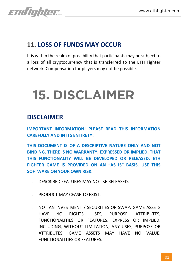eni fyhier

#### **11. LOSS OF FUNDS MAY OCCUR**

It is within the realm of possibility that participants may be subject to a loss of all cryptocurrency that is transferred to the ETH Fighter network. Compensation for players may not be possible.

### **15. DISCLAIMER**

#### **DISCLAIMER**

**IMPORTANT INFORMATION! PLEASE READ THIS INFORMATION CAREFULLY AND IN ITS ENTIRETY!**

**THIS DOCUMENT IS OF A DESCRIPTIVE NATURE ONLY AND NOT BINDING. THERE IS NO WARRANTY, EXPRESSED OR IMPLIED, THAT THIS FUNCTIONALITY WILL BE DEVELOPED OR RELEASED. ETH FIGHTER GAME IS PROVIDED ON AN "AS IS" BASIS. USE THIS SOFTWARE ON YOUR OWN RISK.**

- i. DESCRIBED FEATURES MAY NOT BE RELEASED.
- ii. PRODUCT MAY CEASE TO EXIST.
- iii. NOT AN INVESTMENT / SECURITIES OR SWAP. GAME ASSETS HAVE NO RIGHTS, USES, PURPOSE, ATTRIBUTES, FUNCTIONALITIES OR FEATURES, EXPRESS OR IMPLIED, INCLUDING, WITHOUT LIMITATION, ANY USES, PURPOSE OR ATTRIBUTES. GAME ASSETS MAY HAVE NO VALUE, FUNCTIONALITIES OR FEATURES.